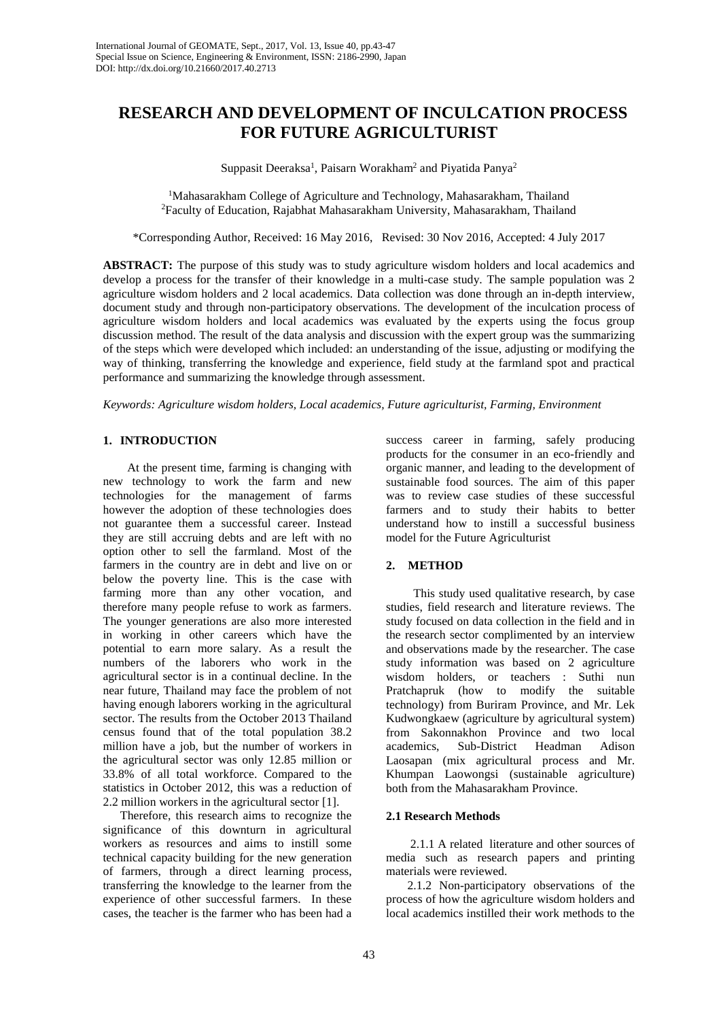# **RESEARCH AND DEVELOPMENT OF INCULCATION PROCESS FOR FUTURE AGRICULTURIST**

Suppasit Deeraksa<sup>1</sup>, Paisarn Worakham<sup>2</sup> and Piyatida Panya<sup>2</sup>

<sup>1</sup>Mahasarakham College of Agriculture and Technology, Mahasarakham, Thailand 2 Faculty of Education, Rajabhat Mahasarakham University, Mahasarakham, Thailand

\*Corresponding Author, Received: 16 May 2016, Revised: 30 Nov 2016, Accepted: 4 July 2017

**ABSTRACT:** The purpose of this study was to study agriculture wisdom holders and local academics and develop a process for the transfer of their knowledge in a multi-case study. The sample population was 2 agriculture wisdom holders and 2 local academics. Data collection was done through an in-depth interview, document study and through non-participatory observations. The development of the inculcation process of agriculture wisdom holders and local academics was evaluated by the experts using the focus group discussion method. The result of the data analysis and discussion with the expert group was the summarizing of the steps which were developed which included: an understanding of the issue, adjusting or modifying the way of thinking, transferring the knowledge and experience, field study at the farmland spot and practical performance and summarizing the knowledge through assessment.

*Keywords: Agriculture wisdom holders, Local academics, Future agriculturist, Farming, Environment*

#### **1. INTRODUCTION**

 At the present time, farming is changing with new technology to work the farm and new technologies for the management of farms however the adoption of these technologies does not guarantee them a successful career. Instead they are still accruing debts and are left with no option other to sell the farmland. Most of the farmers in the country are in debt and live on or below the poverty line. This is the case with farming more than any other vocation, and therefore many people refuse to work as farmers. The younger generations are also more interested in working in other careers which have the potential to earn more salary. As a result the numbers of the laborers who work in the agricultural sector is in a continual decline. In the near future, Thailand may face the problem of not having enough laborers working in the agricultural sector. The results from the October 2013 Thailand census found that of the total population 38.2 million have a job, but the number of workers in the agricultural sector was only 12.85 million or 33.8% of all total workforce. Compared to the statistics in October 2012, this was a reduction of 2.2 million workers in the agricultural sector [1].

Therefore, this research aims to recognize the significance of this downturn in agricultural workers as resources and aims to instill some technical capacity building for the new generation of farmers, through a direct learning process, transferring the knowledge to the learner from the experience of other successful farmers. In these cases, the teacher is the farmer who has been had a

success career in farming, safely producing products for the consumer in an eco-friendly and organic manner, and leading to the development of sustainable food sources. The aim of this paper was to review case studies of these successful farmers and to study their habits to better understand how to instill a successful business model for the Future Agriculturist

# **2. METHOD**

 This study used qualitative research, by case studies, field research and literature reviews. The study focused on data collection in the field and in the research sector complimented by an interview and observations made by the researcher. The case study information was based on 2 agriculture wisdom holders, or teachers : Suthi nun Pratchapruk (how to modify the suitable technology) from Buriram Province, and Mr. Lek Kudwongkaew (agriculture by agricultural system) from Sakonnakhon Province and two local academics, Sub-District Headman Adison Laosapan (mix agricultural process and Mr. Khumpan Laowongsi (sustainable agriculture) both from the Mahasarakham Province.

# **2.1 Research Methods**

 2.1.1 A related literature and other sources of media such as research papers and printing materials were reviewed.

 2.1.2 Non-participatory observations of the process of how the agriculture wisdom holders and local academics instilled their work methods to the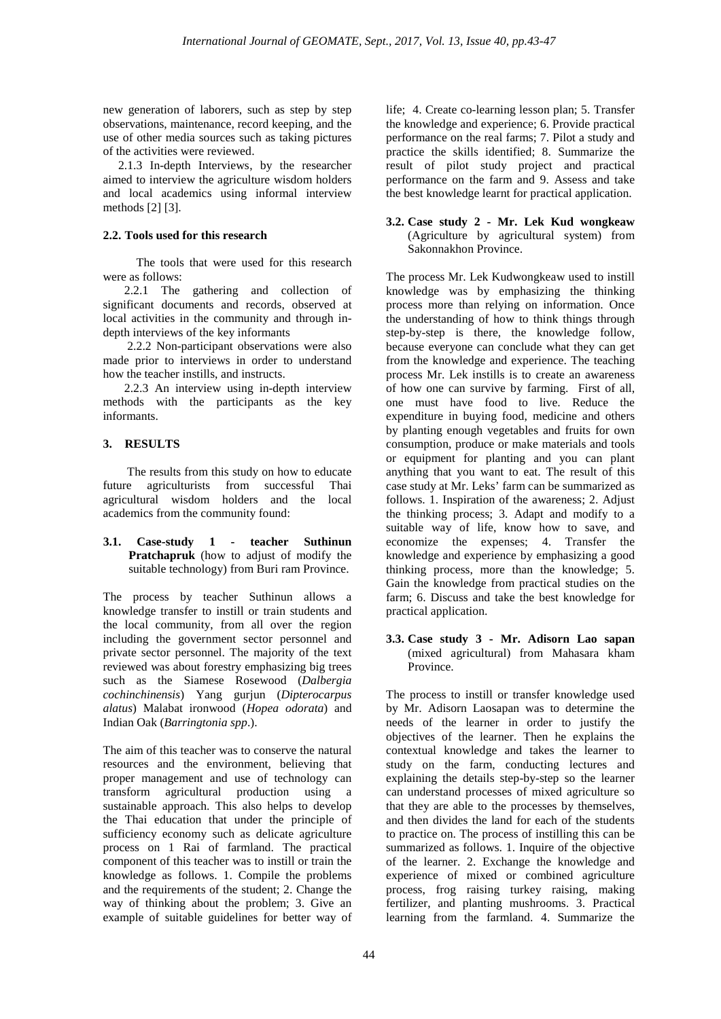new generation of laborers, such as step by step observations, maintenance, record keeping, and the use of other media sources such as taking pictures of the activities were reviewed.

 2.1.3 In-depth Interviews, by the researcher aimed to interview the agriculture wisdom holders and local academics using informal interview methods [2] [3].

# **2.2. Tools used for this research**

 The tools that were used for this research were as follows:

 2.2.1 The gathering and collection of significant documents and records, observed at local activities in the community and through indepth interviews of the key informants

 2.2.2 Non-participant observations were also made prior to interviews in order to understand how the teacher instills, and instructs.

 2.2.3 An interview using in-depth interview methods with the participants as the key informants.

# **3. RESULTS**

 The results from this study on how to educate future agriculturists from successful Thai agricultural wisdom holders and the local academics from the community found:

## **3.1. Case-study 1 - teacher Suthinun Pratchapruk** (how to adjust of modify the suitable technology) from Buri ram Province.

The process by teacher Suthinun allows a knowledge transfer to instill or train students and the local community, from all over the region including the government sector personnel and private sector personnel. The majority of the text reviewed was about forestry emphasizing big trees such as the Siamese Rosewood (*Dalbergia cochinchinensis*) Yang gurjun (*Dipterocarpus alatus*) Malabat ironwood (*Hopea odorata*) and Indian Oak (*Barringtonia spp*.).

The aim of this teacher was to conserve the natural resources and the environment, believing that proper management and use of technology can transform agricultural production using a sustainable approach. This also helps to develop the Thai education that under the principle of sufficiency economy such as delicate agriculture process on 1 Rai of farmland. The practical component of this teacher was to instill or train the knowledge as follows. 1. Compile the problems and the requirements of the student; 2. Change the way of thinking about the problem; 3. Give an example of suitable guidelines for better way of

life; 4. Create co-learning lesson plan; 5. Transfer the knowledge and experience; 6. Provide practical performance on the real farms; 7. Pilot a study and practice the skills identified; 8. Summarize the result of pilot study project and practical performance on the farm and 9. Assess and take the best knowledge learnt for practical application.

#### **3.2. Case study 2 - Mr. Lek Kud wongkeaw** (Agriculture by agricultural system) from Sakonnakhon Province.

The process Mr. Lek Kudwongkeaw used to instill knowledge was by emphasizing the thinking process more than relying on information. Once the understanding of how to think things through step-by-step is there, the knowledge follow, because everyone can conclude what they can get from the knowledge and experience. The teaching process Mr. Lek instills is to create an awareness of how one can survive by farming. First of all, one must have food to live. Reduce the expenditure in buying food, medicine and others by planting enough vegetables and fruits for own consumption, produce or make materials and tools or equipment for planting and you can plant anything that you want to eat. The result of this case study at Mr. Leks' farm can be summarized as follows. 1. Inspiration of the awareness; 2. Adjust the thinking process; 3. Adapt and modify to a suitable way of life, know how to save, and economize the expenses; 4. Transfer the knowledge and experience by emphasizing a good thinking process, more than the knowledge; 5. Gain the knowledge from practical studies on the farm; 6. Discuss and take the best knowledge for practical application.

**3.3. Case study 3 - Mr. Adisorn Lao sapan**  (mixed agricultural) from Mahasara kham Province.

The process to instill or transfer knowledge used by Mr. Adisorn Laosapan was to determine the needs of the learner in order to justify the objectives of the learner. Then he explains the contextual knowledge and takes the learner to study on the farm, conducting lectures and explaining the details step-by-step so the learner can understand processes of mixed agriculture so that they are able to the processes by themselves, and then divides the land for each of the students to practice on. The process of instilling this can be summarized as follows. 1. Inquire of the objective of the learner. 2. Exchange the knowledge and experience of mixed or combined agriculture process, frog raising turkey raising, making fertilizer, and planting mushrooms. 3. Practical learning from the farmland. 4. Summarize the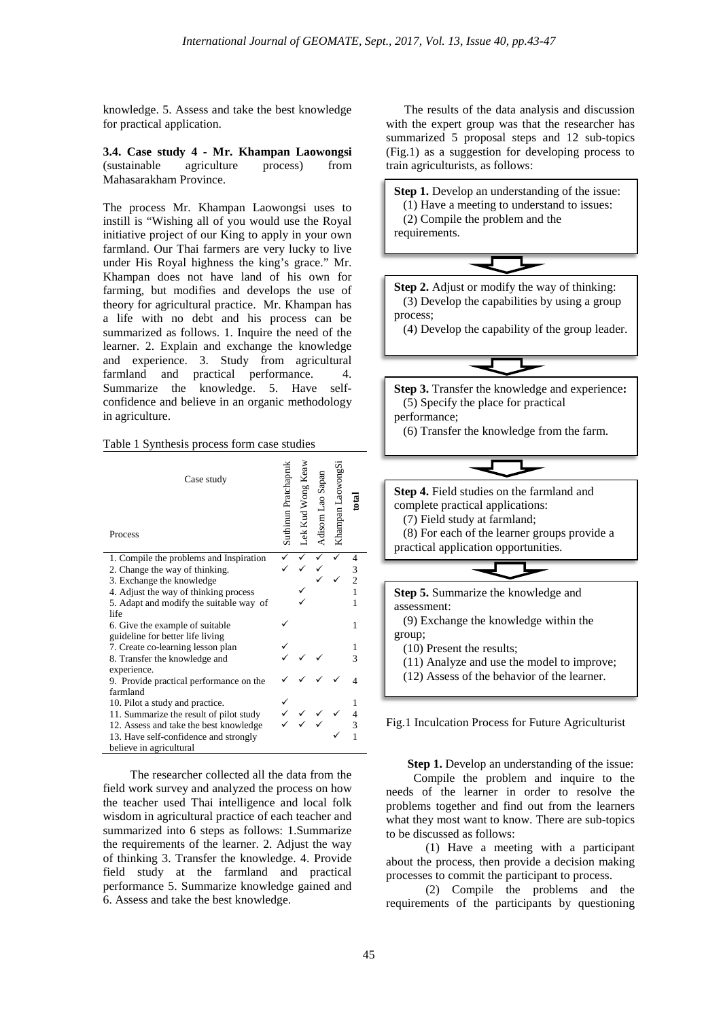knowledge. 5. Assess and take the best knowledge for practical application.

**3.4. Case study 4 - Mr. Khampan Laowongsi** (sustainable agriculture process) from Mahasarakham Province.

The process Mr. Khampan Laowongsi uses to instill is "Wishing all of you would use the Royal initiative project of our King to apply in your own farmland. Our Thai farmers are very lucky to live under His Royal highness the king's grace." Mr. Khampan does not have land of his own for farming, but modifies and develops the use of theory for agricultural practice. Mr. Khampan has a life with no debt and his process can be summarized as follows. 1. Inquire the need of the learner. 2. Explain and exchange the knowledge and experience. 3. Study from agricultural farmland and practical performance. 4. Summarize the knowledge. 5. Have selfconfidence and believe in an organic methodology in agriculture.

#### Table 1 Synthesis process form case studies

| Case study<br>Process                   | Suthinun Pratchaprul | .ek Kud Wong K | ao Sapan<br>Adisom J | LaowongSi<br>Khampan 1 |   |
|-----------------------------------------|----------------------|----------------|----------------------|------------------------|---|
| 1. Compile the problems and Inspiration |                      |                |                      |                        |   |
| 2. Change the way of thinking.          |                      |                |                      |                        | 3 |
| 3. Exchange the knowledge               |                      |                |                      |                        |   |
| 4. Adjust the way of thinking process   |                      |                |                      |                        |   |
| 5. Adapt and modify the suitable way of |                      |                |                      |                        | 1 |
| life                                    |                      |                |                      |                        |   |
| 6. Give the example of suitable         |                      |                |                      |                        | 1 |
| guideline for better life living        |                      |                |                      |                        |   |
| 7. Create co-learning lesson plan       |                      |                |                      |                        |   |
| 8. Transfer the knowledge and           |                      |                |                      |                        |   |
| experience.                             |                      |                |                      |                        |   |
| 9. Provide practical performance on the |                      |                |                      |                        |   |
| farmland                                |                      |                |                      |                        |   |
| 10. Pilot a study and practice.         |                      |                |                      |                        |   |
| 11. Summarize the result of pilot study |                      |                |                      |                        |   |
| 12. Assess and take the best knowledge  |                      |                |                      |                        |   |
| 13. Have self-confidence and strongly   |                      |                |                      |                        | 1 |
| believe in agricultural                 |                      |                |                      |                        |   |

 The researcher collected all the data from the field work survey and analyzed the process on how the teacher used Thai intelligence and local folk wisdom in agricultural practice of each teacher and summarized into 6 steps as follows: 1.Summarize the requirements of the learner. 2. Adjust the way of thinking 3. Transfer the knowledge. 4. Provide field study at the farmland and practical performance 5. Summarize knowledge gained and 6. Assess and take the best knowledge.

 The results of the data analysis and discussion with the expert group was that the researcher has summarized 5 proposal steps and 12 sub-topics (Fig.1) as a suggestion for developing process to train agriculturists, as follows:



Fig.1 Inculcation Process for Future Agriculturist

**Step 1.** Develop an understanding of the issue:

 Compile the problem and inquire to the needs of the learner in order to resolve the problems together and find out from the learners what they most want to know. There are sub-topics to be discussed as follows:

 (1) Have a meeting with a participant about the process, then provide a decision making processes to commit the participant to process.

 (2) Compile the problems and the requirements of the participants by questioning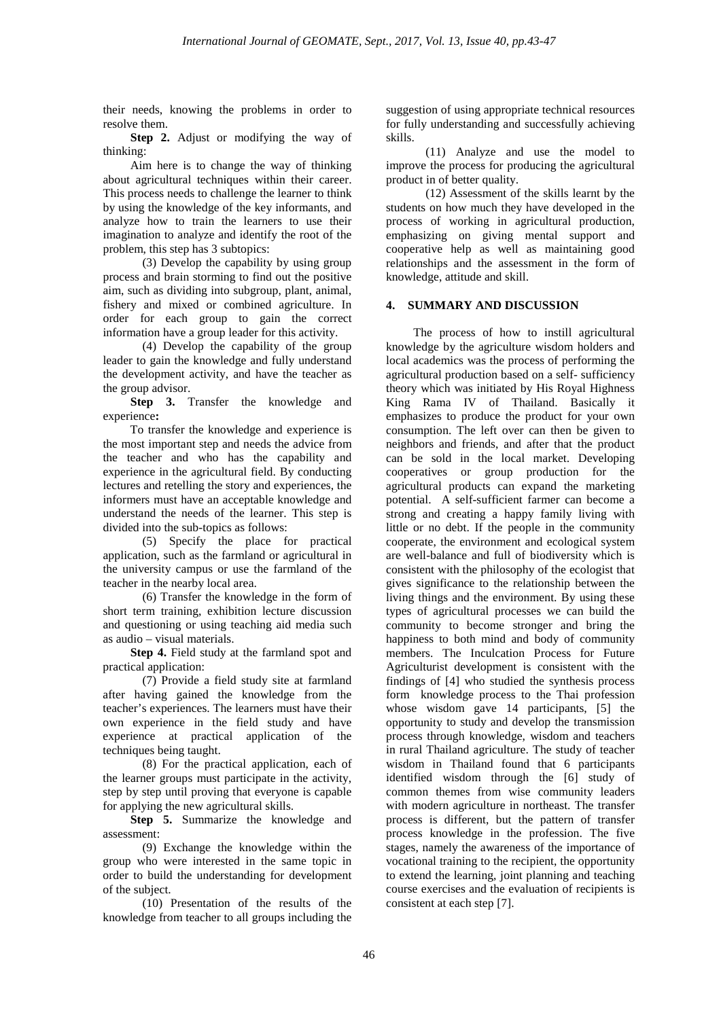their needs, knowing the problems in order to resolve them.

 **Step 2.** Adjust or modifying the way of thinking:

 Aim here is to change the way of thinking about agricultural techniques within their career. This process needs to challenge the learner to think by using the knowledge of the key informants, and analyze how to train the learners to use their imagination to analyze and identify the root of the problem, this step has 3 subtopics:

 (3) Develop the capability by using group process and brain storming to find out the positive aim, such as dividing into subgroup, plant, animal, fishery and mixed or combined agriculture. In order for each group to gain the correct information have a group leader for this activity.

 (4) Develop the capability of the group leader to gain the knowledge and fully understand the development activity, and have the teacher as the group advisor.

Step 3. Transfer the knowledge and experience**:**

 To transfer the knowledge and experience is the most important step and needs the advice from the teacher and who has the capability and experience in the agricultural field. By conducting lectures and retelling the story and experiences, the informers must have an acceptable knowledge and understand the needs of the learner. This step is divided into the sub-topics as follows:

 (5) Specify the place for practical application, such as the farmland or agricultural in the university campus or use the farmland of the teacher in the nearby local area.

 (6) Transfer the knowledge in the form of short term training, exhibition lecture discussion and questioning or using teaching aid media such as audio – visual materials.

 **Step 4.** Field study at the farmland spot and practical application:

 (7) Provide a field study site at farmland after having gained the knowledge from the teacher's experiences. The learners must have their own experience in the field study and have experience at practical application of the techniques being taught.

 (8) For the practical application, each of the learner groups must participate in the activity, step by step until proving that everyone is capable for applying the new agricultural skills.

 **Step 5.** Summarize the knowledge and assessment:

 (9) Exchange the knowledge within the group who were interested in the same topic in order to build the understanding for development of the subject.

 (10) Presentation of the results of the knowledge from teacher to all groups including the suggestion of using appropriate technical resources for fully understanding and successfully achieving skills.

 (11) Analyze and use the model to improve the process for producing the agricultural product in of better quality.

 (12) Assessment of the skills learnt by the students on how much they have developed in the process of working in agricultural production, emphasizing on giving mental support and cooperative help as well as maintaining good relationships and the assessment in the form of knowledge, attitude and skill.

# **4. SUMMARY AND DISCUSSION**

 The process of how to instill agricultural knowledge by the agriculture wisdom holders and local academics was the process of performing the agricultural production based on a self- sufficiency theory which was initiated by His Royal Highness King Rama IV of Thailand. Basically it emphasizes to produce the product for your own consumption. The left over can then be given to neighbors and friends, and after that the product can be sold in the local market. Developing cooperatives or group production for the agricultural products can expand the marketing potential. A self-sufficient farmer can become a strong and creating a happy family living with little or no debt. If the people in the community cooperate, the environment and ecological system are well-balance and full of biodiversity which is consistent with the philosophy of the ecologist that gives significance to the relationship between the living things and the environment. By using these types of agricultural processes we can build the community to become stronger and bring the happiness to both mind and body of community members. The Inculcation Process for Future Agriculturist development is consistent with the findings of [4] who studied the synthesis process form knowledge process to the Thai profession whose wisdom gave 14 participants, [5] the opportunity to study and develop the transmission process through knowledge, wisdom and teachers in rural Thailand agriculture. The study of teacher wisdom in Thailand found that 6 participants identified wisdom through the [6] study of common themes from wise community leaders with modern agriculture in northeast. The transfer process is different, but the pattern of transfer process knowledge in the profession. The five stages, namely the awareness of the importance of vocational training to the recipient, the opportunity to extend the learning, joint planning and teaching course exercises and the evaluation of recipients is consistent at each step [7].